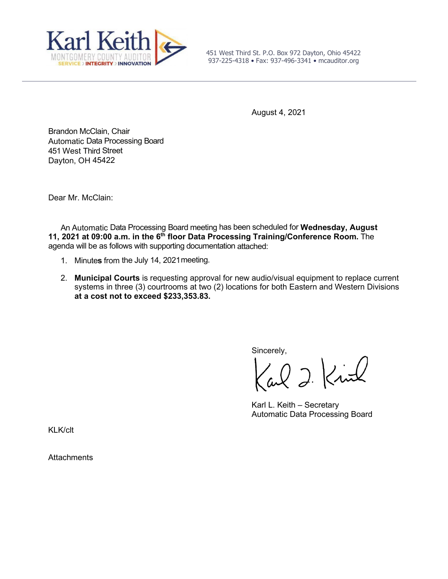

451 West Third St. P.O. Box 972 Dayton, Ohio 45422 937-225-4318 • Fax: 937-496-3341 • mcauditor.org

August 4, 2021

Brandon McClain, Chair Automatic Data Processing Board 451 West Third Street Dayton, OH 45422

Dear Mr. McClain:

An Automatic Data Processing Board meeting has been scheduled for **Wednesday, August 11, 2021 at 09:00 a.m. in the 6th floor Data Processing Training/Conference Room.** The agenda will be as follows with supporting documentation attached:

- 1. Minute**s** from the July 14, 2021meeting.
- 2. **Municipal Courts** is requesting approval for new audio/visual equipment to replace current systems in three (3) courtrooms at two (2) locations for both Eastern and Western Divisions **at a cost not to exceed \$233,353.83.**

Sincerely,

al 2 Kirl

Karl L. Keith – Secretary Automatic Data Processing Board

KLK/clt

**Attachments**